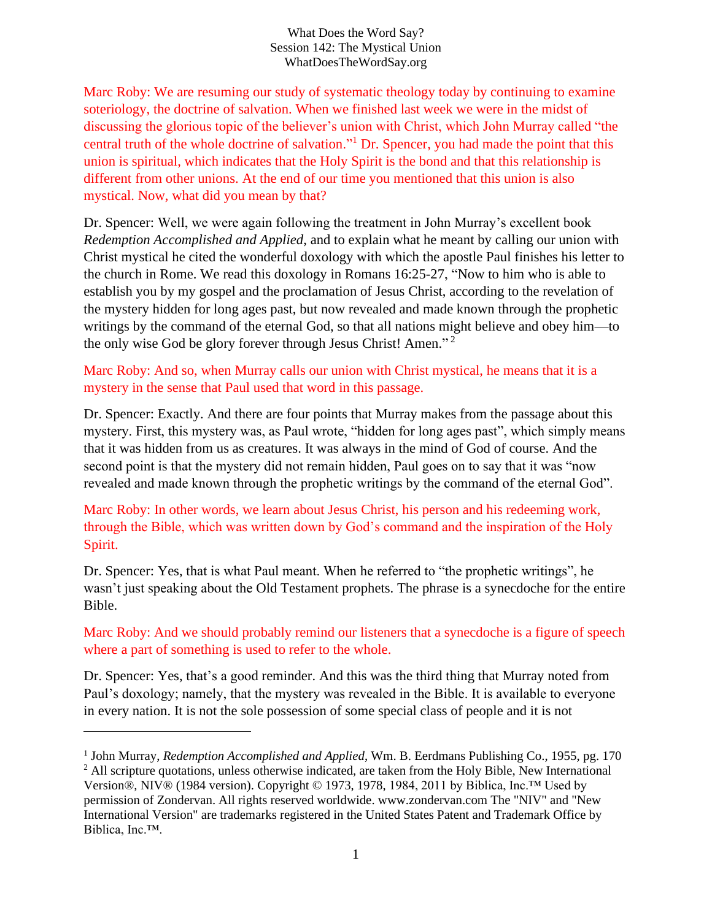What Does the Word Say? Session 142: The Mystical Union WhatDoesTheWordSay.org

Marc Roby: We are resuming our study of systematic theology today by continuing to examine soteriology, the doctrine of salvation. When we finished last week we were in the midst of discussing the glorious topic of the believer's union with Christ, which John Murray called "the central truth of the whole doctrine of salvation."<sup>1</sup> Dr. Spencer, you had made the point that this union is spiritual, which indicates that the Holy Spirit is the bond and that this relationship is different from other unions. At the end of our time you mentioned that this union is also mystical. Now, what did you mean by that?

Dr. Spencer: Well, we were again following the treatment in John Murray's excellent book *Redemption Accomplished and Applied*, and to explain what he meant by calling our union with Christ mystical he cited the wonderful doxology with which the apostle Paul finishes his letter to the church in Rome. We read this doxology in Romans 16:25-27, "Now to him who is able to establish you by my gospel and the proclamation of Jesus Christ, according to the revelation of the mystery hidden for long ages past, but now revealed and made known through the prophetic writings by the command of the eternal God, so that all nations might believe and obey him—to the only wise God be glory forever through Jesus Christ! Amen."<sup>2</sup>

Marc Roby: And so, when Murray calls our union with Christ mystical, he means that it is a mystery in the sense that Paul used that word in this passage.

Dr. Spencer: Exactly. And there are four points that Murray makes from the passage about this mystery. First, this mystery was, as Paul wrote, "hidden for long ages past", which simply means that it was hidden from us as creatures. It was always in the mind of God of course. And the second point is that the mystery did not remain hidden, Paul goes on to say that it was "now revealed and made known through the prophetic writings by the command of the eternal God".

Marc Roby: In other words, we learn about Jesus Christ, his person and his redeeming work, through the Bible, which was written down by God's command and the inspiration of the Holy Spirit.

Dr. Spencer: Yes, that is what Paul meant. When he referred to "the prophetic writings", he wasn't just speaking about the Old Testament prophets. The phrase is a synecdoche for the entire Bible.

Marc Roby: And we should probably remind our listeners that a synecdoche is a figure of speech where a part of something is used to refer to the whole.

Dr. Spencer: Yes, that's a good reminder. And this was the third thing that Murray noted from Paul's doxology; namely, that the mystery was revealed in the Bible. It is available to everyone in every nation. It is not the sole possession of some special class of people and it is not

<sup>&</sup>lt;sup>1</sup> John Murray, *Redemption Accomplished and Applied*, Wm. B. Eerdmans Publishing Co., 1955, pg. 170 <sup>2</sup> All scripture quotations, unless otherwise indicated, are taken from the Holy Bible, New International Version®, NIV® (1984 version). Copyright © 1973, 1978, 1984, 2011 by Biblica, Inc.™ Used by permission of Zondervan. All rights reserved worldwide. www.zondervan.com The "NIV" and "New International Version" are trademarks registered in the United States Patent and Trademark Office by Biblica, Inc.™.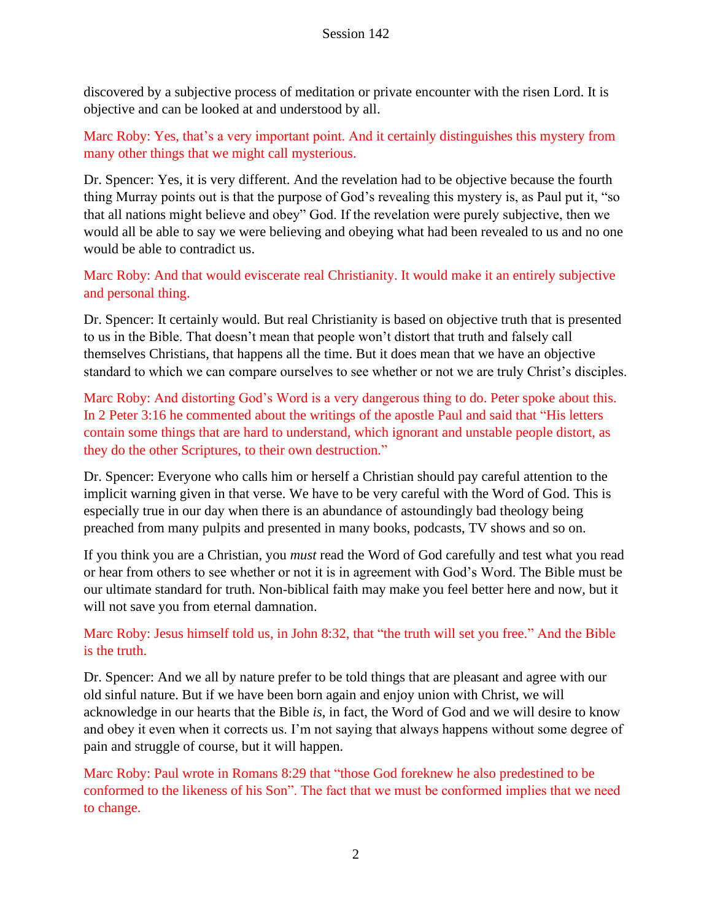discovered by a subjective process of meditation or private encounter with the risen Lord. It is objective and can be looked at and understood by all.

Marc Roby: Yes, that's a very important point. And it certainly distinguishes this mystery from many other things that we might call mysterious.

Dr. Spencer: Yes, it is very different. And the revelation had to be objective because the fourth thing Murray points out is that the purpose of God's revealing this mystery is, as Paul put it, "so that all nations might believe and obey" God. If the revelation were purely subjective, then we would all be able to say we were believing and obeying what had been revealed to us and no one would be able to contradict us.

Marc Roby: And that would eviscerate real Christianity. It would make it an entirely subjective and personal thing.

Dr. Spencer: It certainly would. But real Christianity is based on objective truth that is presented to us in the Bible. That doesn't mean that people won't distort that truth and falsely call themselves Christians, that happens all the time. But it does mean that we have an objective standard to which we can compare ourselves to see whether or not we are truly Christ's disciples.

Marc Roby: And distorting God's Word is a very dangerous thing to do. Peter spoke about this. In 2 Peter 3:16 he commented about the writings of the apostle Paul and said that "His letters contain some things that are hard to understand, which ignorant and unstable people distort, as they do the other Scriptures, to their own destruction."

Dr. Spencer: Everyone who calls him or herself a Christian should pay careful attention to the implicit warning given in that verse. We have to be very careful with the Word of God. This is especially true in our day when there is an abundance of astoundingly bad theology being preached from many pulpits and presented in many books, podcasts, TV shows and so on.

If you think you are a Christian, you *must* read the Word of God carefully and test what you read or hear from others to see whether or not it is in agreement with God's Word. The Bible must be our ultimate standard for truth. Non-biblical faith may make you feel better here and now, but it will not save you from eternal damnation.

Marc Roby: Jesus himself told us, in John 8:32, that "the truth will set you free." And the Bible is the truth.

Dr. Spencer: And we all by nature prefer to be told things that are pleasant and agree with our old sinful nature. But if we have been born again and enjoy union with Christ, we will acknowledge in our hearts that the Bible *is*, in fact, the Word of God and we will desire to know and obey it even when it corrects us. I'm not saying that always happens without some degree of pain and struggle of course, but it will happen.

Marc Roby: Paul wrote in Romans 8:29 that "those God foreknew he also predestined to be conformed to the likeness of his Son". The fact that we must be conformed implies that we need to change.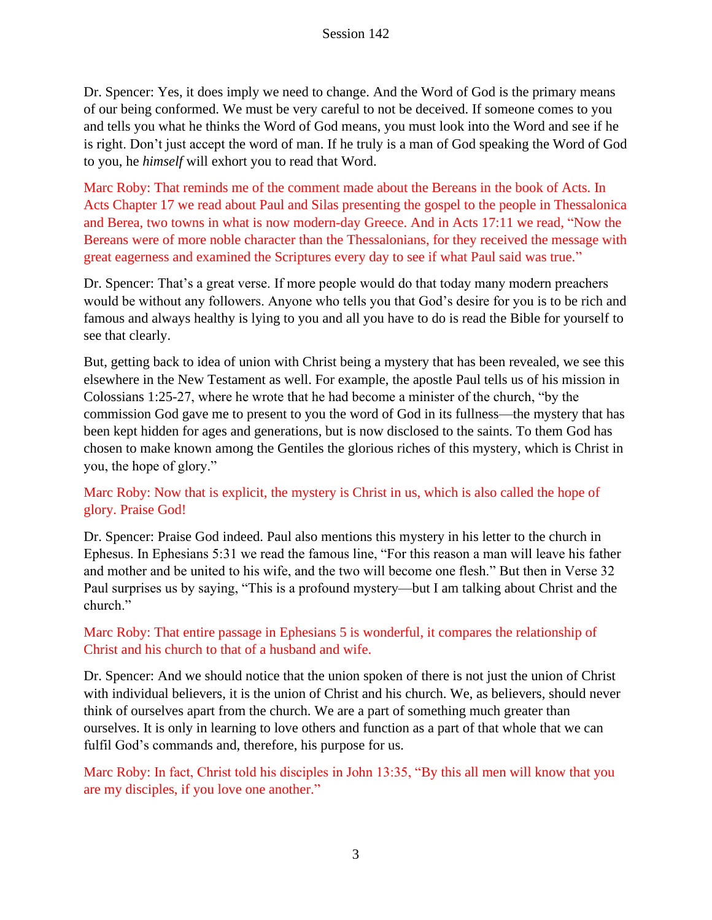Dr. Spencer: Yes, it does imply we need to change. And the Word of God is the primary means of our being conformed. We must be very careful to not be deceived. If someone comes to you and tells you what he thinks the Word of God means, you must look into the Word and see if he is right. Don't just accept the word of man. If he truly is a man of God speaking the Word of God to you, he *himself* will exhort you to read that Word.

Marc Roby: That reminds me of the comment made about the Bereans in the book of Acts. In Acts Chapter 17 we read about Paul and Silas presenting the gospel to the people in Thessalonica and Berea, two towns in what is now modern-day Greece. And in Acts 17:11 we read, "Now the Bereans were of more noble character than the Thessalonians, for they received the message with great eagerness and examined the Scriptures every day to see if what Paul said was true."

Dr. Spencer: That's a great verse. If more people would do that today many modern preachers would be without any followers. Anyone who tells you that God's desire for you is to be rich and famous and always healthy is lying to you and all you have to do is read the Bible for yourself to see that clearly.

But, getting back to idea of union with Christ being a mystery that has been revealed, we see this elsewhere in the New Testament as well. For example, the apostle Paul tells us of his mission in Colossians 1:25-27, where he wrote that he had become a minister of the church, "by the commission God gave me to present to you the word of God in its fullness—the mystery that has been kept hidden for ages and generations, but is now disclosed to the saints. To them God has chosen to make known among the Gentiles the glorious riches of this mystery, which is Christ in you, the hope of glory."

### Marc Roby: Now that is explicit, the mystery is Christ in us, which is also called the hope of glory. Praise God!

Dr. Spencer: Praise God indeed. Paul also mentions this mystery in his letter to the church in Ephesus. In Ephesians 5:31 we read the famous line, "For this reason a man will leave his father and mother and be united to his wife, and the two will become one flesh." But then in Verse 32 Paul surprises us by saying, "This is a profound mystery—but I am talking about Christ and the church."

# Marc Roby: That entire passage in Ephesians 5 is wonderful, it compares the relationship of Christ and his church to that of a husband and wife.

Dr. Spencer: And we should notice that the union spoken of there is not just the union of Christ with individual believers, it is the union of Christ and his church. We, as believers, should never think of ourselves apart from the church. We are a part of something much greater than ourselves. It is only in learning to love others and function as a part of that whole that we can fulfil God's commands and, therefore, his purpose for us.

Marc Roby: In fact, Christ told his disciples in John 13:35, "By this all men will know that you are my disciples, if you love one another."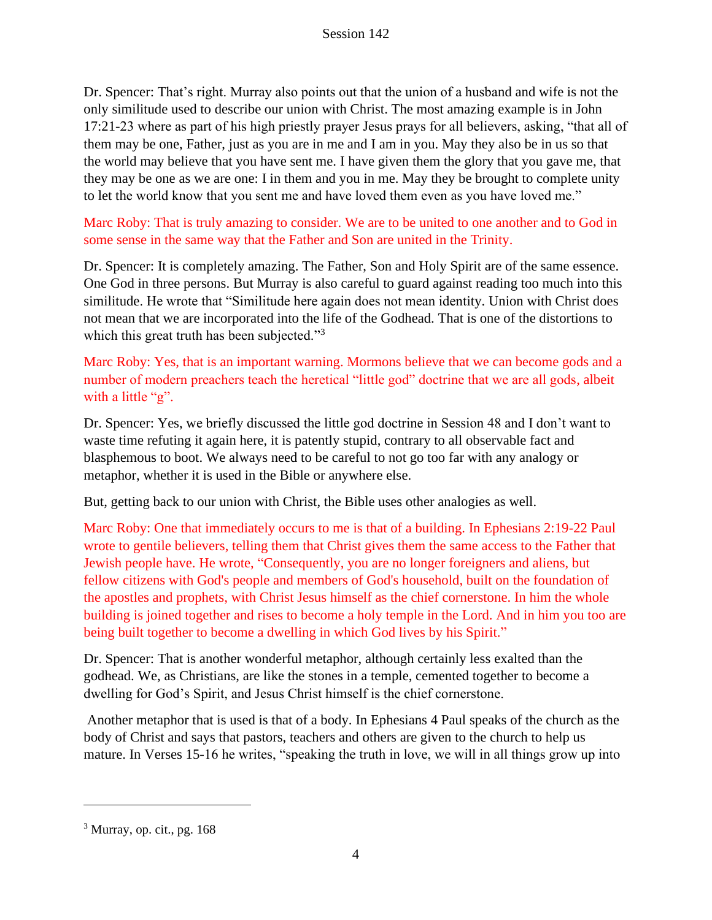Dr. Spencer: That's right. Murray also points out that the union of a husband and wife is not the only similitude used to describe our union with Christ. The most amazing example is in John 17:21-23 where as part of his high priestly prayer Jesus prays for all believers, asking, "that all of them may be one, Father, just as you are in me and I am in you. May they also be in us so that the world may believe that you have sent me. I have given them the glory that you gave me, that they may be one as we are one: I in them and you in me. May they be brought to complete unity to let the world know that you sent me and have loved them even as you have loved me."

Marc Roby: That is truly amazing to consider. We are to be united to one another and to God in some sense in the same way that the Father and Son are united in the Trinity.

Dr. Spencer: It is completely amazing. The Father, Son and Holy Spirit are of the same essence. One God in three persons. But Murray is also careful to guard against reading too much into this similitude. He wrote that "Similitude here again does not mean identity. Union with Christ does not mean that we are incorporated into the life of the Godhead. That is one of the distortions to which this great truth has been subjected."<sup>3</sup>

Marc Roby: Yes, that is an important warning. Mormons believe that we can become gods and a number of modern preachers teach the heretical "little god" doctrine that we are all gods, albeit with a little "g".

Dr. Spencer: Yes, we briefly discussed the little god doctrine in Session 48 and I don't want to waste time refuting it again here, it is patently stupid, contrary to all observable fact and blasphemous to boot. We always need to be careful to not go too far with any analogy or metaphor, whether it is used in the Bible or anywhere else.

But, getting back to our union with Christ, the Bible uses other analogies as well.

Marc Roby: One that immediately occurs to me is that of a building. In Ephesians 2:19-22 Paul wrote to gentile believers, telling them that Christ gives them the same access to the Father that Jewish people have. He wrote, "Consequently, you are no longer foreigners and aliens, but fellow citizens with God's people and members of God's household, built on the foundation of the apostles and prophets, with Christ Jesus himself as the chief cornerstone. In him the whole building is joined together and rises to become a holy temple in the Lord. And in him you too are being built together to become a dwelling in which God lives by his Spirit."

Dr. Spencer: That is another wonderful metaphor, although certainly less exalted than the godhead. We, as Christians, are like the stones in a temple, cemented together to become a dwelling for God's Spirit, and Jesus Christ himself is the chief cornerstone.

Another metaphor that is used is that of a body. In Ephesians 4 Paul speaks of the church as the body of Christ and says that pastors, teachers and others are given to the church to help us mature. In Verses 15-16 he writes, "speaking the truth in love, we will in all things grow up into

 $3$  Murray, op. cit., pg. 168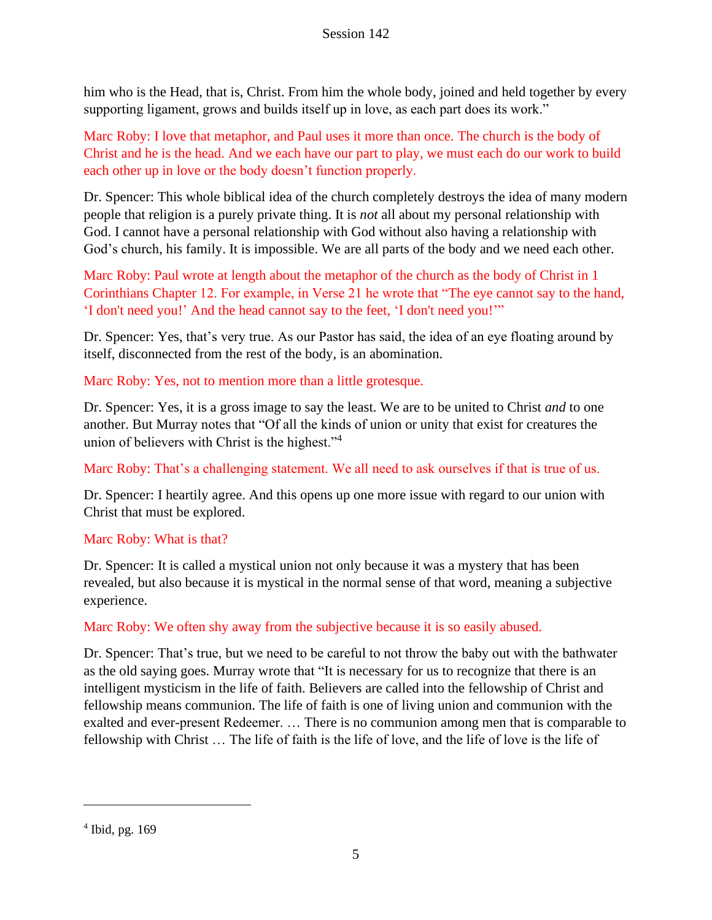him who is the Head, that is, Christ. From him the whole body, joined and held together by every supporting ligament, grows and builds itself up in love, as each part does its work."

Marc Roby: I love that metaphor, and Paul uses it more than once. The church is the body of Christ and he is the head. And we each have our part to play, we must each do our work to build each other up in love or the body doesn't function properly.

Dr. Spencer: This whole biblical idea of the church completely destroys the idea of many modern people that religion is a purely private thing. It is *not* all about my personal relationship with God. I cannot have a personal relationship with God without also having a relationship with God's church, his family. It is impossible. We are all parts of the body and we need each other.

Marc Roby: Paul wrote at length about the metaphor of the church as the body of Christ in 1 Corinthians Chapter 12. For example, in Verse 21 he wrote that "The eye cannot say to the hand, 'I don't need you!' And the head cannot say to the feet, 'I don't need you!'"

Dr. Spencer: Yes, that's very true. As our Pastor has said, the idea of an eye floating around by itself, disconnected from the rest of the body, is an abomination.

Marc Roby: Yes, not to mention more than a little grotesque.

Dr. Spencer: Yes, it is a gross image to say the least. We are to be united to Christ *and* to one another. But Murray notes that "Of all the kinds of union or unity that exist for creatures the union of believers with Christ is the highest."<sup>4</sup>

Marc Roby: That's a challenging statement. We all need to ask ourselves if that is true of us.

Dr. Spencer: I heartily agree. And this opens up one more issue with regard to our union with Christ that must be explored.

# Marc Roby: What is that?

Dr. Spencer: It is called a mystical union not only because it was a mystery that has been revealed, but also because it is mystical in the normal sense of that word, meaning a subjective experience.

# Marc Roby: We often shy away from the subjective because it is so easily abused.

Dr. Spencer: That's true, but we need to be careful to not throw the baby out with the bathwater as the old saying goes. Murray wrote that "It is necessary for us to recognize that there is an intelligent mysticism in the life of faith. Believers are called into the fellowship of Christ and fellowship means communion. The life of faith is one of living union and communion with the exalted and ever-present Redeemer. … There is no communion among men that is comparable to fellowship with Christ … The life of faith is the life of love, and the life of love is the life of

<sup>4</sup> Ibid, pg. 169